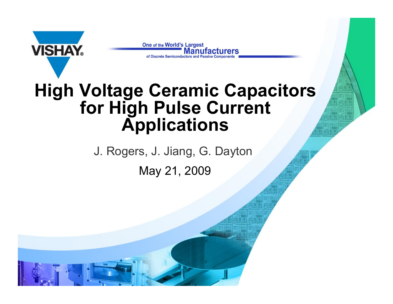

One of the World's Largest Manufacturers

#### **High Voltage Ceramic Capacitors for High Pulse Current Applications**

May 21, 2009 J. Rogers, J. Jiang, G. Dayton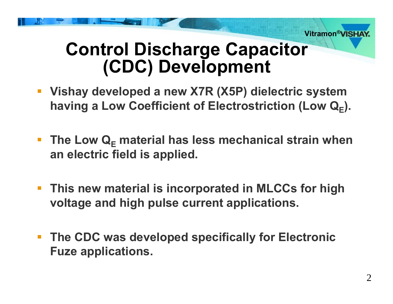

### **Control Discharge Capacitor (CDC) Development**

- **Vishay developed a new X7R (X5P) dielectric system having a Low Coefficient of Electrostriction (Low Q E).**
- The Low Q<sub>E</sub> material has less mechanical strain when **an electric field is applied.**
- **This new material is incorporated in MLCCs for high voltage and high pulse current applications.**
- **The CDC was developed specifically for Electronic Fuze applications.**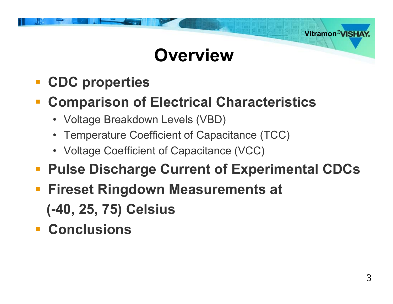# **Overview**

- **CDC properties**
- **Comparison of Electrical Characteristics**
	- Voltage Breakdown Levels (VBD)
	- Temperature Coefficient of Capacitance (TCC)
	- Voltage Coefficient of Capacitance (VCC)
- $\mathcal{L}_{\mathcal{A}}$ **Pulse Discharge Current of Experimental CDCs**
- $\mathcal{L}_{\mathcal{A}}$  **Fireset Ringdown Measurements at (-40, 25, 75) Celsius**
- **Conclusions**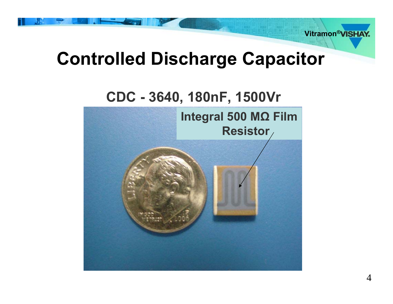

# **Controlled Discharge Capacitor**

#### **CDC - 3640, 180nF, 1500Vr**

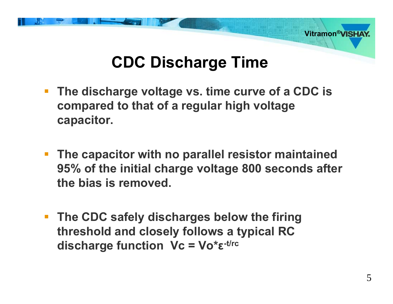

#### **CDC Discharge Time**

- **The discharge voltage vs. time curve of a CDC is compared to that of a regular high voltage capacitor.**
- **The capacitor with no parallel resistor maintained 95% of the initial charge voltage 800 seconds after the bias is removed.**
- **The CDC safely discharges below the firing threshold and closely follows a typical RC discharge function Vc = Vo\* ε-t/rc**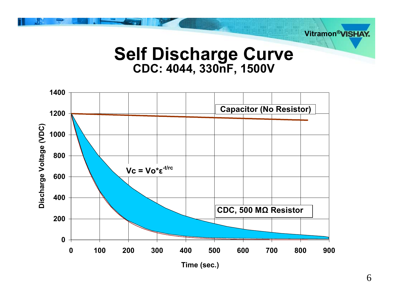

#### **Self Discharge Curve CDC: 4044, 330nF, 1500V**

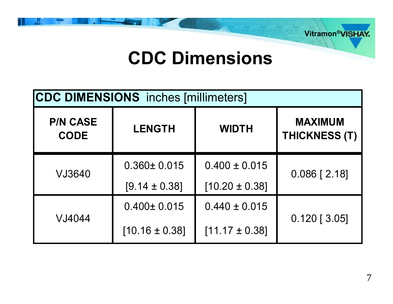

### **CDC Dimensions**

| <b>CDC DIMENSIONS</b> inches [millimeters] |                    |                    |                                        |  |  |
|--------------------------------------------|--------------------|--------------------|----------------------------------------|--|--|
| <b>P/N CASE</b><br><b>CODE</b>             | <b>LENGTH</b>      | <b>WIDTH</b>       | <b>MAXIMUM</b><br><b>THICKNESS (T)</b> |  |  |
| VJ3640                                     | $0.360 \pm 0.015$  | $0.400 \pm 0.015$  | $0.086$ [ 2.18]                        |  |  |
|                                            | $[9.14 \pm 0.38]$  | $[10.20 \pm 0.38]$ |                                        |  |  |
| VJ4044                                     | $0.400 \pm 0.015$  | $0.440 \pm 0.015$  |                                        |  |  |
|                                            | $[10.16 \pm 0.38]$ | $[11.17 \pm 0.38]$ | $0.120$ [ 3.05]                        |  |  |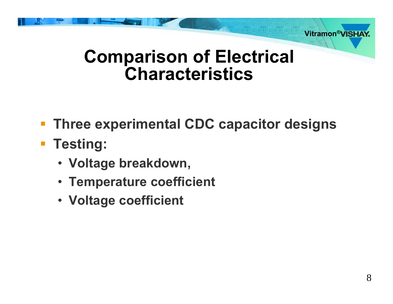

### **Comparison of Electrical Characteristics**

- **Three experimental CDC capacitor designs**
- **Testing:**
	- **Voltage breakdown,**
	- **Temperature coefficient**
	- **Voltage coefficient**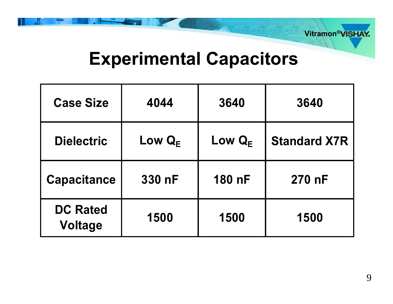

## **Experimental Capacitors**

| <b>Case Size</b>                  | 4044                          | 3640                          | 3640                |
|-----------------------------------|-------------------------------|-------------------------------|---------------------|
| <b>Dielectric</b>                 | Low $\mathbf{Q}_{\mathsf{F}}$ | Low $\mathbf{Q}_{\mathsf{F}}$ | <b>Standard X7R</b> |
| <b>Capacitance</b>                | 330 nF                        | 180 nF                        | 270 nF              |
| <b>DC Rated</b><br><b>Voltage</b> | 1500                          | 1500                          | 1500                |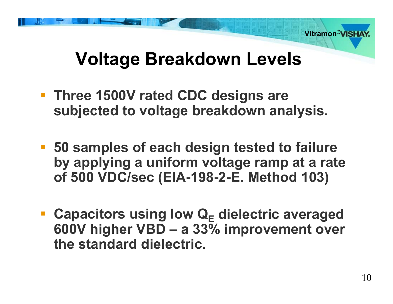

# **Voltage Breakdown Levels**

- **Three 1500V rated CDC designs are subjected to voltage breakdown analysis.**
- **50 samples of each design tested to failure by applying a uniform voltage ramp at a rate of 500 VDC/sec (EIA-198-2-E. Method 103)**
- **E** Capacitors using low Q<sub>E</sub> dielectric averaged **600V higher VBD – a 33% improvement over the standard dielectric.**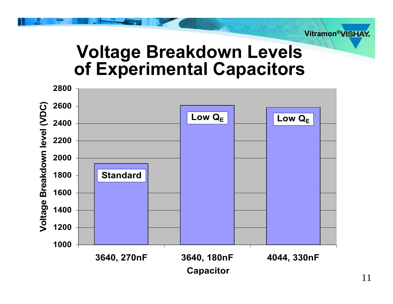

#### **Voltage Breakdown Levels of Experimental Capacitors**

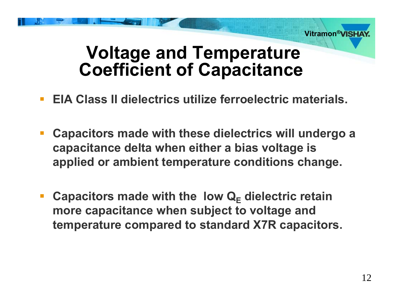

#### **Voltage and Temperature Coefficient of Capacitance**

- $\mathbb{R}^3$ **EIA Class II dielectrics utilize ferroelectric materials.**
- **Capacitors made with these dielectrics will undergo a capacitance delta when either a bias voltage is applied or ambient temperature conditions change.**
- **E** Capacitors made with the low Q<sub>E</sub> dielectric retain **more capacitance when subject to voltage and temperature compared to standard X7R capacitors.**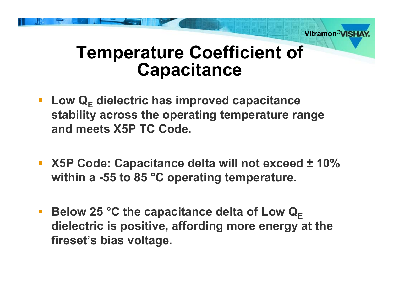

### **Temperature Coefficient of Capacitance**

- **E** Low Q<sub>E</sub> dielectric has improved capacitance **stability across the operating temperature range and meets X5P TC Code.**
- **X5P Code: Capacitance delta will not exceed ± 10% within a -55 to 85 °C operating temperature.**
- $\mathcal{L}_{\mathcal{A}}$ **EXECUTE: Below 25 °C the capacitance delta of Low**  $\mathbf{Q}_{\mathsf{E}}$ **dielectric is positive, affording more energy at the fireset's bias voltage.**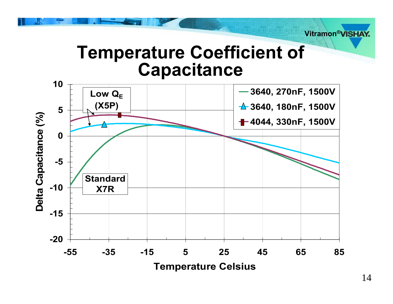

#### **Temperature Coefficient of Capacitance**

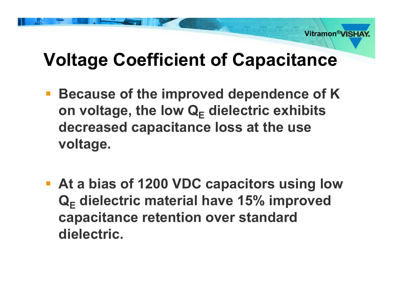

# **Voltage Coefficient of Capacitance**

- **Because of the improved dependence of K on voltage, the low Q E dielectric exhibits decreased capacitance loss at the use voltage.**
- **At a bias of 1200 VDC capacitors using low Q E dielectric material have 15% improved capacitance retention over standard dielectric.**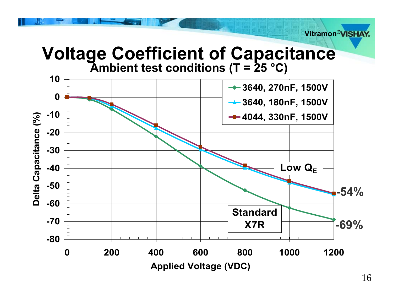**Voltage Coefficient of Capacitance Ambient test conditions (T = 25 °C)**

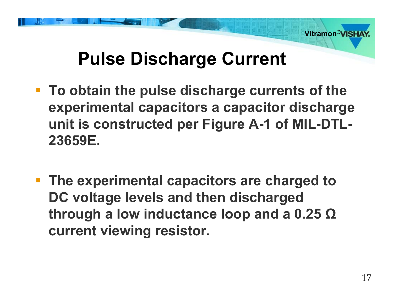

# **Pulse Discharge Current**

- **To obtain the pulse discharge currents of the experimental capacitors a capacitor discharge unit is constructed per Figure A-1 of MIL-DTL-23659E.**
- **The experimental capacitors are charged to DC voltage levels and then discharged through a low inductance loop and a 0.25 Ω current viewing resistor.**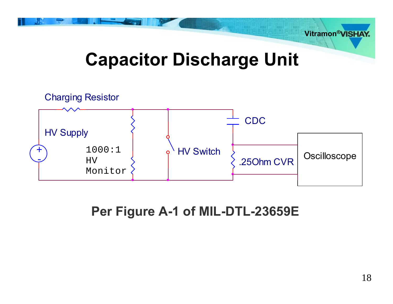

# **Capacitor Discharge Unit**



#### **Per Figure A-1 of MIL-DTL-23659E**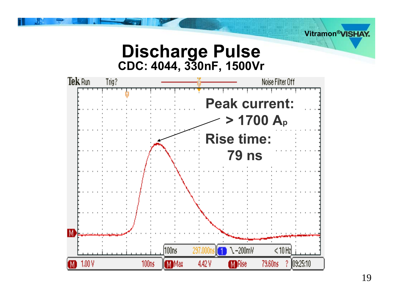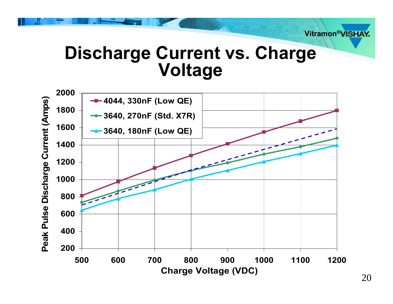

### **Discharge Current vs. Charge Voltage**

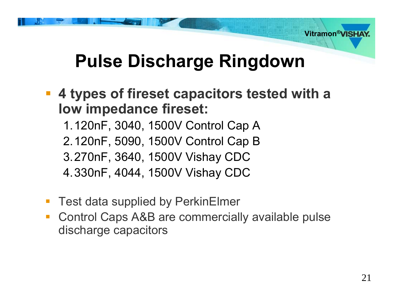

# **Pulse Discharge Ringdown**

 **4 types of fireset capacitors tested with a low impedance fireset:**

1.120nF, 3040, 1500V Control Cap A

2.120nF, 5090, 1500V Control Cap B

3.270nF, 3640, 1500V Vishay CDC

4.330nF, 4044, 1500V Vishay CDC

- Test data supplied by PerkinElmer
- Control Caps A&B are commercially available pulse discharge capacitors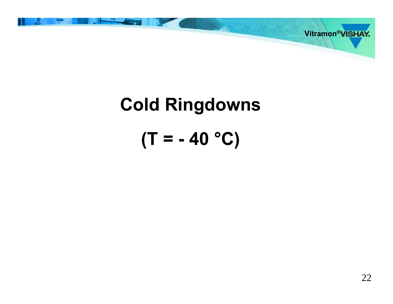

# **Cold Ringdowns (T = - 40 °C)**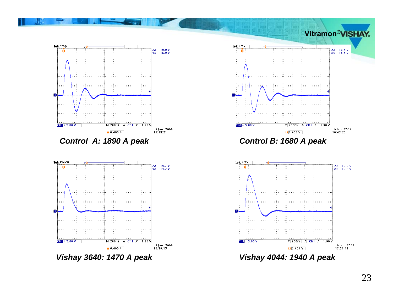





*Control A: 1890 A peak Control B: 1680 A peak*



*Vishay 3640: 1470 A peak Vishay 4044: 1940 A peak*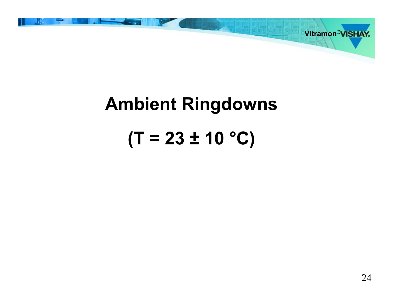

# **Ambient Ringdowns (T = 23 ± 10 °C)**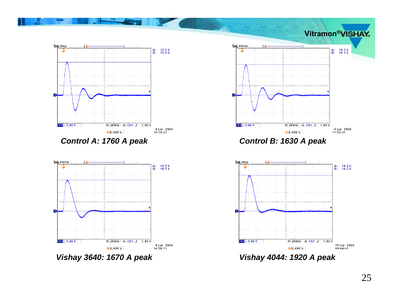



*Vishay 3640: 1670 A peak Vishay 4044: 1920 A peak*



*Control A: 1760 A peak Control B: 1630 A peak*

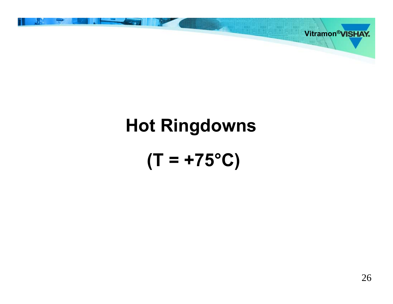# **Hot Ringdowns (T = +75°C)**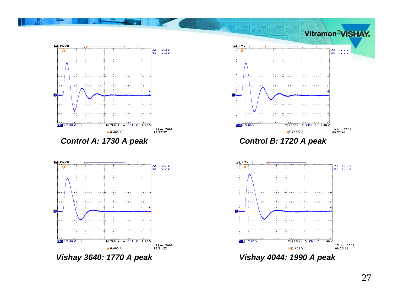



*Vishay 3640: 1770 A peak Vishay 4044: 1990 A peak*



*Control A: 1730 A peak Control B: 1720 A peak*

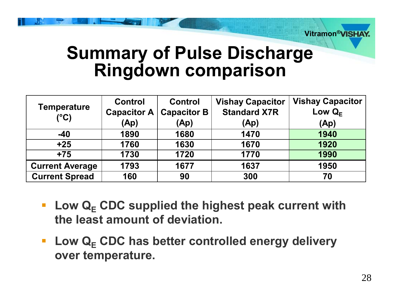

### **Summary of Pulse Discharge Ringdown comparison**

| <b>Temperature</b><br>$(^{\circ}C)$ | <b>Control</b><br><b>Capacitor A</b> | <b>Control</b><br><b>Capacitor B</b> | <b>Vishay Capacitor</b><br><b>Standard X7R</b> | <b>Vishay Capacitor</b><br>Low $Q_F$ |
|-------------------------------------|--------------------------------------|--------------------------------------|------------------------------------------------|--------------------------------------|
|                                     | (Ap)                                 | (Ap)                                 | (Ap)                                           | (Ap)                                 |
| $-40$                               | 1890                                 | 1680                                 | 1470                                           | 1940                                 |
| $+25$                               | 1760                                 | 1630                                 | 1670                                           | 1920                                 |
| $+75$                               | 1730                                 | 1720                                 | 1770                                           | 1990                                 |
| <b>Current Average</b>              | 1793                                 | 1677                                 | 1637                                           | 1950                                 |
| <b>Current Spread</b>               | 160                                  | 90                                   | 300                                            | 70                                   |

- **E** Low Q<sub>E</sub> CDC supplied the highest peak current with **the least amount of deviation.**
- **E** Low Q<sub>E</sub> CDC has better controlled energy delivery **over temperature.**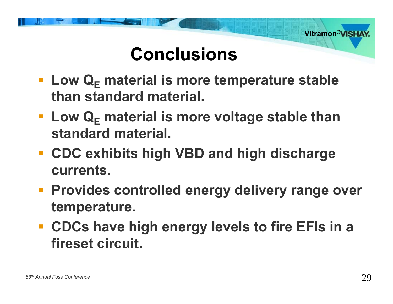

# **Conclusions**

- **EXA)** Low Q<sub>E</sub> material is more temperature stable **than standard material.**
- Low Q<sub>E</sub> material is more voltage stable than **standard material.**
- **CDC exhibits high VBD and high discharge currents.**
- **Provides controlled energy delivery range over temperature.**
- **CDCs have high energy levels to fire EFIs in a fireset circuit.**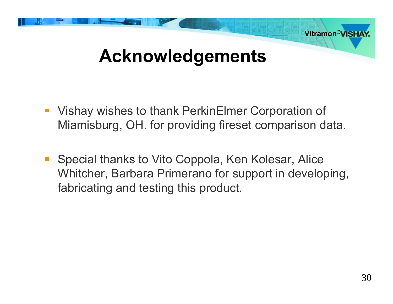

- $\mathbb{R}^3$  Vishay wishes to thank PerkinElmer Corporation of Miamisburg, OH. for providing fireset comparison data.
- $\mathcal{L}_{\mathcal{A}}$  Special thanks to Vito Coppola, Ken Kolesar, Alice Whitcher, Barbara Primerano for support in developing, fabricating and testing this product.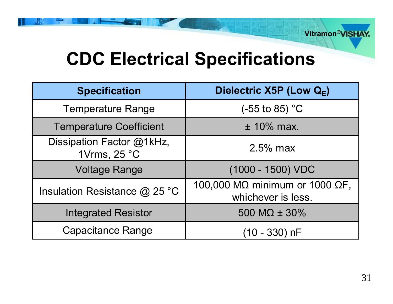# **CDC Electrical Specifications**

| <b>Specification</b>                      | Dielectric X5P (Low Q <sub>E</sub> )                 |  |
|-------------------------------------------|------------------------------------------------------|--|
| <b>Temperature Range</b>                  | (-55 to 85) $^{\circ}$ C                             |  |
| <b>Temperature Coefficient</b>            | $±$ 10% max.                                         |  |
| Dissipation Factor @1kHz,<br>1Vrms, 25 °C | $2.5\%$ max                                          |  |
| <b>Voltage Range</b>                      | $(1000 - 1500)$ VDC                                  |  |
| Insulation Resistance $@$ 25 °C           | 100,000 MΩ minimum or 1000 ΩF,<br>whichever is less. |  |
| <b>Integrated Resistor</b>                | 500 M $\Omega$ ± 30%                                 |  |
| <b>Capacitance Range</b>                  | $(10 - 330)$ nF                                      |  |